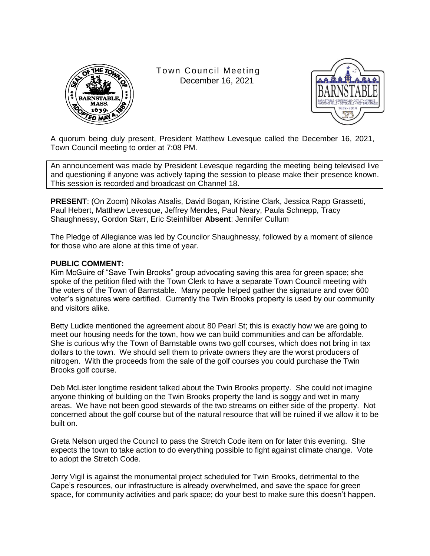

Town Council Meeting December 16, 2021



A quorum being duly present, President Matthew Levesque called the December 16, 2021, Town Council meeting to order at 7:08 PM.

An announcement was made by President Levesque regarding the meeting being televised live and questioning if anyone was actively taping the session to please make their presence known. This session is recorded and broadcast on Channel 18.

**PRESENT**: (On Zoom) Nikolas Atsalis, David Bogan, Kristine Clark, Jessica Rapp Grassetti, Paul Hebert, Matthew Levesque, Jeffrey Mendes, Paul Neary, Paula Schnepp, Tracy Shaughnessy, Gordon Starr, Eric Steinhilber **Absent**: Jennifer Cullum

The Pledge of Allegiance was led by Councilor Shaughnessy, followed by a moment of silence for those who are alone at this time of year.

### **PUBLIC COMMENT:**

Kim McGuire of "Save Twin Brooks" group advocating saving this area for green space; she spoke of the petition filed with the Town Clerk to have a separate Town Council meeting with the voters of the Town of Barnstable. Many people helped gather the signature and over 600 voter's signatures were certified. Currently the Twin Brooks property is used by our community and visitors alike.

Betty Ludkte mentioned the agreement about 80 Pearl St; this is exactly how we are going to meet our housing needs for the town, how we can build communities and can be affordable. She is curious why the Town of Barnstable owns two golf courses, which does not bring in tax dollars to the town. We should sell them to private owners they are the worst producers of nitrogen. With the proceeds from the sale of the golf courses you could purchase the Twin Brooks golf course.

Deb McLister longtime resident talked about the Twin Brooks property. She could not imagine anyone thinking of building on the Twin Brooks property the land is soggy and wet in many areas. We have not been good stewards of the two streams on either side of the property. Not concerned about the golf course but of the natural resource that will be ruined if we allow it to be built on.

Greta Nelson urged the Council to pass the Stretch Code item on for later this evening. She expects the town to take action to do everything possible to fight against climate change. Vote to adopt the Stretch Code.

Jerry Vigil is against the monumental project scheduled for Twin Brooks, detrimental to the Cape's resources, our infrastructure is already overwhelmed, and save the space for green space, for community activities and park space; do your best to make sure this doesn't happen.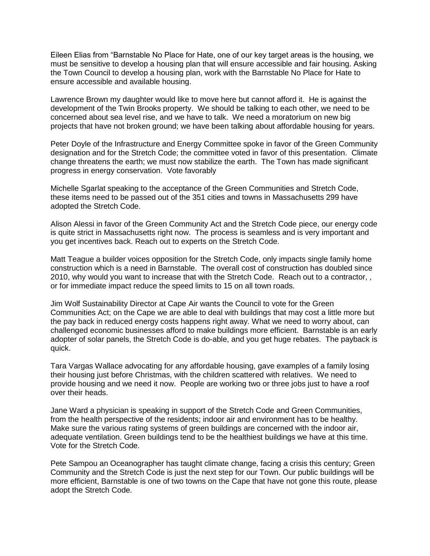Eileen Elias from "Barnstable No Place for Hate, one of our key target areas is the housing, we must be sensitive to develop a housing plan that will ensure accessible and fair housing. Asking the Town Council to develop a housing plan, work with the Barnstable No Place for Hate to ensure accessible and available housing.

Lawrence Brown my daughter would like to move here but cannot afford it. He is against the development of the Twin Brooks property. We should be talking to each other, we need to be concerned about sea level rise, and we have to talk. We need a moratorium on new big projects that have not broken ground; we have been talking about affordable housing for years.

Peter Doyle of the Infrastructure and Energy Committee spoke in favor of the Green Community designation and for the Stretch Code; the committee voted in favor of this presentation. Climate change threatens the earth; we must now stabilize the earth. The Town has made significant progress in energy conservation. Vote favorably

Michelle Sgarlat speaking to the acceptance of the Green Communities and Stretch Code, these items need to be passed out of the 351 cities and towns in Massachusetts 299 have adopted the Stretch Code.

Alison Alessi in favor of the Green Community Act and the Stretch Code piece, our energy code is quite strict in Massachusetts right now. The process is seamless and is very important and you get incentives back. Reach out to experts on the Stretch Code.

Matt Teague a builder voices opposition for the Stretch Code, only impacts single family home construction which is a need in Barnstable. The overall cost of construction has doubled since 2010, why would you want to increase that with the Stretch Code. Reach out to a contractor, , or for immediate impact reduce the speed limits to 15 on all town roads.

Jim Wolf Sustainability Director at Cape Air wants the Council to vote for the Green Communities Act; on the Cape we are able to deal with buildings that may cost a little more but the pay back in reduced energy costs happens right away. What we need to worry about, can challenged economic businesses afford to make buildings more efficient. Barnstable is an early adopter of solar panels, the Stretch Code is do-able, and you get huge rebates. The payback is quick.

Tara Vargas Wallace advocating for any affordable housing, gave examples of a family losing their housing just before Christmas, with the children scattered with relatives. We need to provide housing and we need it now. People are working two or three jobs just to have a roof over their heads.

Jane Ward a physician is speaking in support of the Stretch Code and Green Communities, from the health perspective of the residents; indoor air and environment has to be healthy. Make sure the various rating systems of green buildings are concerned with the indoor air, adequate ventilation. Green buildings tend to be the healthiest buildings we have at this time. Vote for the Stretch Code.

Pete Sampou an Oceanographer has taught climate change, facing a crisis this century; Green Community and the Stretch Code is just the next step for our Town. Our public buildings will be more efficient, Barnstable is one of two towns on the Cape that have not gone this route, please adopt the Stretch Code.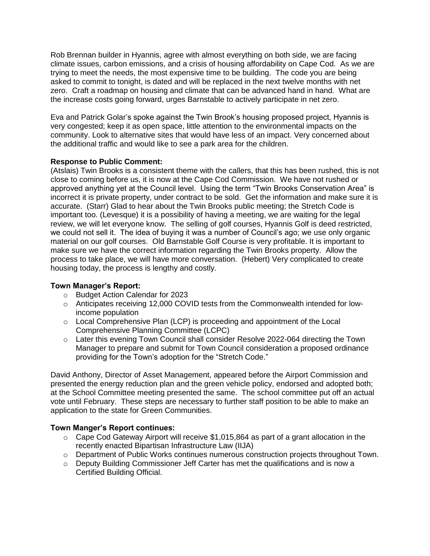Rob Brennan builder in Hyannis, agree with almost everything on both side, we are facing climate issues, carbon emissions, and a crisis of housing affordability on Cape Cod. As we are trying to meet the needs, the most expensive time to be building. The code you are being asked to commit to tonight, is dated and will be replaced in the next twelve months with net zero. Craft a roadmap on housing and climate that can be advanced hand in hand. What are the increase costs going forward, urges Barnstable to actively participate in net zero.

Eva and Patrick Golar's spoke against the Twin Brook's housing proposed project, Hyannis is very congested; keep it as open space, little attention to the environmental impacts on the community. Look to alternative sites that would have less of an impact. Very concerned about the additional traffic and would like to see a park area for the children.

# **Response to Public Comment:**

(Atslais) Twin Brooks is a consistent theme with the callers, that this has been rushed, this is not close to coming before us, it is now at the Cape Cod Commission. We have not rushed or approved anything yet at the Council level. Using the term "Twin Brooks Conservation Area" is incorrect it is private property, under contract to be sold. Get the information and make sure it is accurate. (Starr) Glad to hear about the Twin Brooks public meeting; the Stretch Code is important too. (Levesque) it is a possibility of having a meeting, we are waiting for the legal review, we will let everyone know. The selling of golf courses, Hyannis Golf is deed restricted, we could not sell it. The idea of buying it was a number of Council's ago; we use only organic material on our golf courses. Old Barnstable Golf Course is very profitable. It is important to make sure we have the correct information regarding the Twin Brooks property. Allow the process to take place, we will have more conversation. (Hebert) Very complicated to create housing today, the process is lengthy and costly.

# **Town Manager's Report:**

- o Budget Action Calendar for 2023
- $\circ$  Anticipates receiving 12,000 COVID tests from the Commonwealth intended for lowincome population
- $\circ$  Local Comprehensive Plan (LCP) is proceeding and appointment of the Local Comprehensive Planning Committee (LCPC)
- o Later this evening Town Council shall consider Resolve 2022-064 directing the Town Manager to prepare and submit for Town Council consideration a proposed ordinance providing for the Town's adoption for the "Stretch Code."

David Anthony, Director of Asset Management, appeared before the Airport Commission and presented the energy reduction plan and the green vehicle policy, endorsed and adopted both; at the School Committee meeting presented the same. The school committee put off an actual vote until February. These steps are necessary to further staff position to be able to make an application to the state for Green Communities.

# **Town Manger's Report continues:**

- $\circ$  Cape Cod Gateway Airport will receive \$1,015,864 as part of a grant allocation in the recently enacted Bipartisan Infrastructure Law (IIJA)
- $\circ$  Department of Public Works continues numerous construction projects throughout Town.
- o Deputy Building Commissioner Jeff Carter has met the qualifications and is now a Certified Building Official.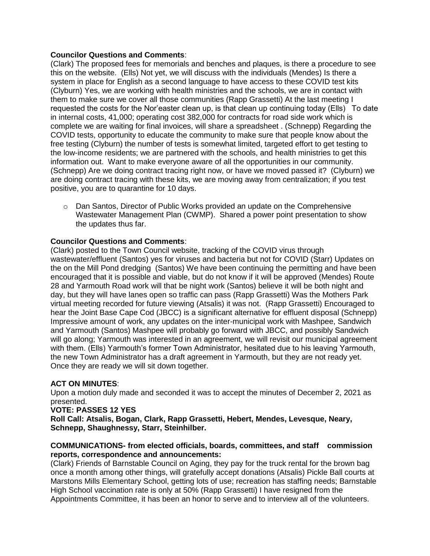### **Councilor Questions and Comments**:

(Clark) The proposed fees for memorials and benches and plaques, is there a procedure to see this on the website. (Ells) Not yet, we will discuss with the individuals (Mendes) Is there a system in place for English as a second language to have access to these COVID test kits (Clyburn) Yes, we are working with health ministries and the schools, we are in contact with them to make sure we cover all those communities (Rapp Grassetti) At the last meeting I requested the costs for the Nor'easter clean up, is that clean up continuing today (Ells) To date in internal costs, 41,000; operating cost 382,000 for contracts for road side work which is complete we are waiting for final invoices, will share a spreadsheet . (Schnepp) Regarding the COVID tests, opportunity to educate the community to make sure that people know about the free testing (Clyburn) the number of tests is somewhat limited, targeted effort to get testing to the low-income residents; we are partnered with the schools, and health ministries to get this information out. Want to make everyone aware of all the opportunities in our community. (Schnepp) Are we doing contract tracing right now, or have we moved passed it? (Clyburn) we are doing contract tracing with these kits, we are moving away from centralization; if you test positive, you are to quarantine for 10 days.

 $\circ$  Dan Santos, Director of Public Works provided an update on the Comprehensive Wastewater Management Plan (CWMP). Shared a power point presentation to show the updates thus far.

# **Councilor Questions and Comments**:

(Clark) posted to the Town Council website, tracking of the COVID virus through wastewater/effluent (Santos) yes for viruses and bacteria but not for COVID (Starr) Updates on the on the Mill Pond dredging (Santos) We have been continuing the permitting and have been encouraged that it is possible and viable, but do not know if it will be approved (Mendes) Route 28 and Yarmouth Road work will that be night work (Santos) believe it will be both night and day, but they will have lanes open so traffic can pass (Rapp Grassetti) Was the Mothers Park virtual meeting recorded for future viewing (Atsalis) it was not. (Rapp Grassetti) Encouraged to hear the Joint Base Cape Cod (JBCC) is a significant alternative for effluent disposal (Schnepp) Impressive amount of work, any updates on the inter-municipal work with Mashpee, Sandwich and Yarmouth (Santos) Mashpee will probably go forward with JBCC, and possibly Sandwich will go along; Yarmouth was interested in an agreement, we will revisit our municipal agreement with them. (Ells) Yarmouth's former Town Administrator, hesitated due to his leaving Yarmouth, the new Town Administrator has a draft agreement in Yarmouth, but they are not ready yet. Once they are ready we will sit down together.

# **ACT ON MINUTES**:

Upon a motion duly made and seconded it was to accept the minutes of December 2, 2021 as presented.

### **VOTE: PASSES 12 YES**

**Roll Call: Atsalis, Bogan, Clark, Rapp Grassetti, Hebert, Mendes, Levesque, Neary, Schnepp, Shaughnessy, Starr, Steinhilber.**

### **COMMUNICATIONS- from elected officials, boards, committees, and staff commission reports, correspondence and announcements:**

(Clark) Friends of Barnstable Council on Aging, they pay for the truck rental for the brown bag once a month among other things, will gratefully accept donations (Atsalis) Pickle Ball courts at Marstons Mills Elementary School, getting lots of use; recreation has staffing needs; Barnstable High School vaccination rate is only at 50% (Rapp Grassetti) I have resigned from the Appointments Committee, it has been an honor to serve and to interview all of the volunteers.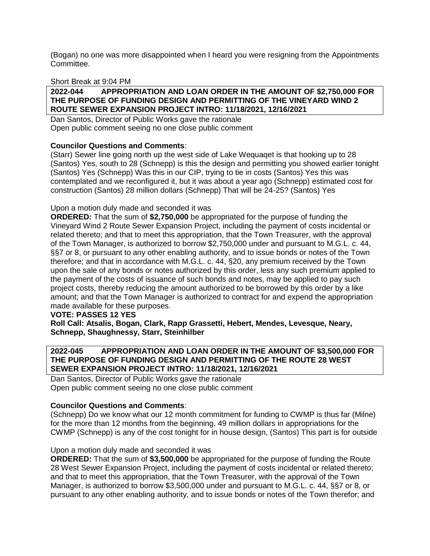(Bogan) no one was more disappointed when I heard you were resigning from the Appointments Committee.

### Short Break at 9:04 PM

### **2022-044 APPROPRIATION AND LOAN ORDER IN THE AMOUNT OF \$2,750,000 FOR THE PURPOSE OF FUNDING DESIGN AND PERMITTING OF THE VINEYARD WIND 2 ROUTE SEWER EXPANSION PROJECT INTRO: 11/18/2021, 12/16/2021**

Dan Santos, Director of Public Works gave the rationale Open public comment seeing no one close public comment

# **Councilor Questions and Comments**:

(Starr) Sewer line going north up the west side of Lake Wequaqet is that hooking up to 28 (Santos) Yes, south to 28 (Schnepp) is this the design and permitting you showed earlier tonight (Santos) Yes (Schnepp) Was this in our CIP, trying to tie in costs (Santos) Yes this was contemplated and we reconfigured it, but it was about a year ago (Schnepp) estimated cost for construction (Santos) 28 million dollars (Schnepp) That will be 24-25? (Santos) Yes

### Upon a motion duly made and seconded it was

**ORDERED:** That the sum of **\$2,750,000** be appropriated for the purpose of funding the Vineyard Wind 2 Route Sewer Expansion Project, including the payment of costs incidental or related thereto; and that to meet this appropriation, that the Town Treasurer, with the approval of the Town Manager, is authorized to borrow \$2,750,000 under and pursuant to M.G.L. c. 44, §§7 or 8, or pursuant to any other enabling authority, and to issue bonds or notes of the Town therefore; and that in accordance with M.G.L. c. 44, §20, any premium received by the Town upon the sale of any bonds or notes authorized by this order, less any such premium applied to the payment of the costs of issuance of such bonds and notes, may be applied to pay such project costs, thereby reducing the amount authorized to be borrowed by this order by a like amount; and that the Town Manager is authorized to contract for and expend the appropriation made available for these purposes.

### **VOTE: PASSES 12 YES**

**Roll Call: Atsalis, Bogan, Clark, Rapp Grassetti, Hebert, Mendes, Levesque, Neary, Schnepp, Shaughnessy, Starr, Steinhilber**

### **2022-045 APPROPRIATION AND LOAN ORDER IN THE AMOUNT OF \$3,500,000 FOR THE PURPOSE OF FUNDING DESIGN AND PERMITTING OF THE ROUTE 28 WEST SEWER EXPANSION PROJECT INTRO: 11/18/2021, 12/16/2021**

Dan Santos, Director of Public Works gave the rationale Open public comment seeing no one close public comment

### **Councilor Questions and Comments**:

(Schnepp) Do we know what our 12 month commitment for funding to CWMP is thus far (Milne) for the more than 12 months from the beginning, 49 million dollars in appropriations for the CWMP (Schnepp) is any of the cost tonight for in house design, (Santos) This part is for outside

### Upon a motion duly made and seconded it was

**ORDERED:** That the sum of **\$3,500,000** be appropriated for the purpose of funding the Route 28 West Sewer Expansion Project, including the payment of costs incidental or related thereto; and that to meet this appropriation, that the Town Treasurer, with the approval of the Town Manager, is authorized to borrow \$3,500,000 under and pursuant to M.G.L. c. 44, §§7 or 8, or pursuant to any other enabling authority, and to issue bonds or notes of the Town therefor; and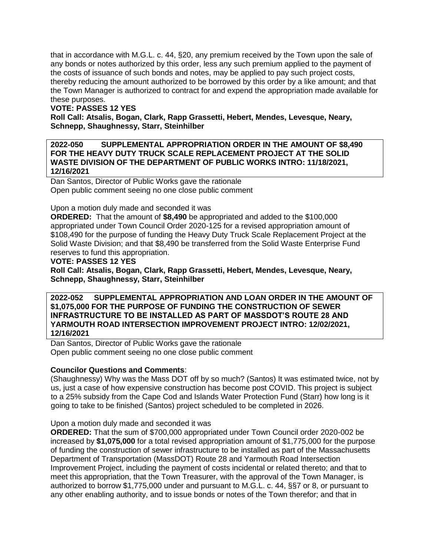that in accordance with M.G.L. c. 44, §20, any premium received by the Town upon the sale of any bonds or notes authorized by this order, less any such premium applied to the payment of the costs of issuance of such bonds and notes, may be applied to pay such project costs, thereby reducing the amount authorized to be borrowed by this order by a like amount; and that the Town Manager is authorized to contract for and expend the appropriation made available for these purposes.

# **VOTE: PASSES 12 YES**

**Roll Call: Atsalis, Bogan, Clark, Rapp Grassetti, Hebert, Mendes, Levesque, Neary, Schnepp, Shaughnessy, Starr, Steinhilber**

### **2022-050 SUPPLEMENTAL APPROPRIATION ORDER IN THE AMOUNT OF \$8,490 FOR THE HEAVY DUTY TRUCK SCALE REPLACEMENT PROJECT AT THE SOLID WASTE DIVISION OF THE DEPARTMENT OF PUBLIC WORKS INTRO: 11/18/2021, 12/16/2021**

Dan Santos, Director of Public Works gave the rationale Open public comment seeing no one close public comment

### Upon a motion duly made and seconded it was

**ORDERED:** That the amount of **\$8,490** be appropriated and added to the \$100,000 appropriated under Town Council Order 2020-125 for a revised appropriation amount of \$108,490 for the purpose of funding the Heavy Duty Truck Scale Replacement Project at the Solid Waste Division; and that \$8,490 be transferred from the Solid Waste Enterprise Fund reserves to fund this appropriation.

### **VOTE: PASSES 12 YES**

**Roll Call: Atsalis, Bogan, Clark, Rapp Grassetti, Hebert, Mendes, Levesque, Neary, Schnepp, Shaughnessy, Starr, Steinhilber**

**2022-052 SUPPLEMENTAL APPROPRIATION AND LOAN ORDER IN THE AMOUNT OF \$1,075,000 FOR THE PURPOSE OF FUNDING THE CONSTRUCTION OF SEWER INFRASTRUCTURE TO BE INSTALLED AS PART OF MASSDOT'S ROUTE 28 AND YARMOUTH ROAD INTERSECTION IMPROVEMENT PROJECT INTRO: 12/02/2021, 12/16/2021**

Dan Santos, Director of Public Works gave the rationale Open public comment seeing no one close public comment

# **Councilor Questions and Comments**:

(Shaughnessy) Why was the Mass DOT off by so much? (Santos) It was estimated twice, not by us, just a case of how expensive construction has become post COVID. This project is subject to a 25% subsidy from the Cape Cod and Islands Water Protection Fund (Starr) how long is it going to take to be finished (Santos) project scheduled to be completed in 2026.

Upon a motion duly made and seconded it was

**ORDERED:** That the sum of \$700,000 appropriated under Town Council order 2020-002 be increased by **\$1,075,000** for a total revised appropriation amount of \$1,775,000 for the purpose of funding the construction of sewer infrastructure to be installed as part of the Massachusetts Department of Transportation (MassDOT) Route 28 and Yarmouth Road Intersection Improvement Project, including the payment of costs incidental or related thereto; and that to meet this appropriation, that the Town Treasurer, with the approval of the Town Manager, is authorized to borrow \$1,775,000 under and pursuant to M.G.L. c. 44, §§7 or 8, or pursuant to any other enabling authority, and to issue bonds or notes of the Town therefor; and that in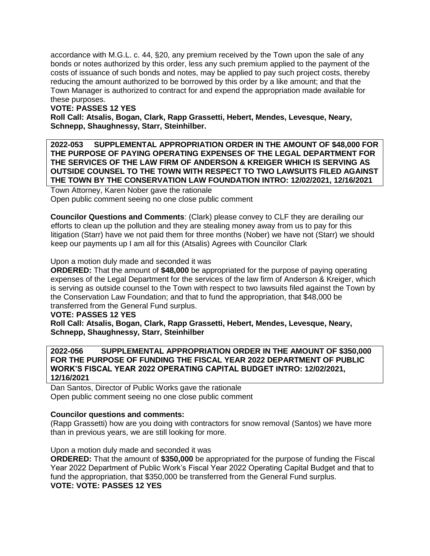accordance with M.G.L. c. 44, §20, any premium received by the Town upon the sale of any bonds or notes authorized by this order, less any such premium applied to the payment of the costs of issuance of such bonds and notes, may be applied to pay such project costs, thereby reducing the amount authorized to be borrowed by this order by a like amount; and that the Town Manager is authorized to contract for and expend the appropriation made available for these purposes.

### **VOTE: PASSES 12 YES**

**Roll Call: Atsalis, Bogan, Clark, Rapp Grassetti, Hebert, Mendes, Levesque, Neary, Schnepp, Shaughnessy, Starr, Steinhilber.**

**2022-053 SUPPLEMENTAL APPROPRIATION ORDER IN THE AMOUNT OF \$48,000 FOR THE PURPOSE OF PAYING OPERATING EXPENSES OF THE LEGAL DEPARTMENT FOR THE SERVICES OF THE LAW FIRM OF ANDERSON & KREIGER WHICH IS SERVING AS OUTSIDE COUNSEL TO THE TOWN WITH RESPECT TO TWO LAWSUITS FILED AGAINST THE TOWN BY THE CONSERVATION LAW FOUNDATION INTRO: 12/02/2021, 12/16/2021**

Town Attorney, Karen Nober gave the rationale Open public comment seeing no one close public comment

**Councilor Questions and Comments**: (Clark) please convey to CLF they are derailing our efforts to clean up the pollution and they are stealing money away from us to pay for this litigation (Starr) have we not paid them for three months (Nober) we have not (Starr) we should keep our payments up I am all for this (Atsalis) Agrees with Councilor Clark

Upon a motion duly made and seconded it was

**ORDERED:** That the amount of **\$48,000** be appropriated for the purpose of paying operating expenses of the Legal Department for the services of the law firm of Anderson & Kreiger, which is serving as outside counsel to the Town with respect to two lawsuits filed against the Town by the Conservation Law Foundation; and that to fund the appropriation, that \$48,000 be transferred from the General Fund surplus.

# **VOTE: PASSES 12 YES**

**Roll Call: Atsalis, Bogan, Clark, Rapp Grassetti, Hebert, Mendes, Levesque, Neary, Schnepp, Shaughnessy, Starr, Steinhilber**

### **2022-056 SUPPLEMENTAL APPROPRIATION ORDER IN THE AMOUNT OF \$350,000 FOR THE PURPOSE OF FUNDING THE FISCAL YEAR 2022 DEPARTMENT OF PUBLIC WORK'S FISCAL YEAR 2022 OPERATING CAPITAL BUDGET INTRO: 12/02/2021, 12/16/2021**

Dan Santos, Director of Public Works gave the rationale Open public comment seeing no one close public comment

### **Councilor questions and comments:**

(Rapp Grassetti) how are you doing with contractors for snow removal (Santos) we have more than in previous years, we are still looking for more.

Upon a motion duly made and seconded it was

**ORDERED:** That the amount of **\$350,000** be appropriated for the purpose of funding the Fiscal Year 2022 Department of Public Work's Fiscal Year 2022 Operating Capital Budget and that to fund the appropriation, that \$350,000 be transferred from the General Fund surplus. **VOTE: VOTE: PASSES 12 YES**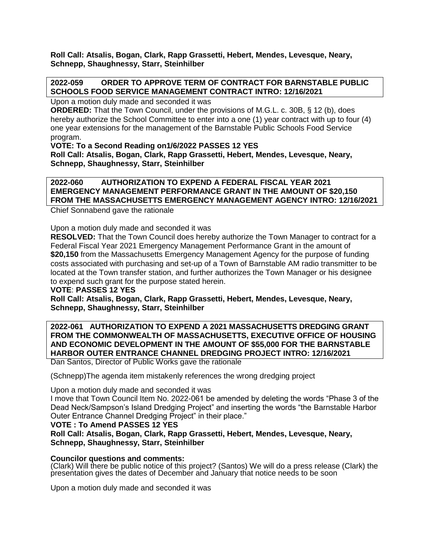**Roll Call: Atsalis, Bogan, Clark, Rapp Grassetti, Hebert, Mendes, Levesque, Neary, Schnepp, Shaughnessy, Starr, Steinhilber**

### **2022-059 ORDER TO APPROVE TERM OF CONTRACT FOR BARNSTABLE PUBLIC SCHOOLS FOOD SERVICE MANAGEMENT CONTRACT INTRO: 12/16/2021**

Upon a motion duly made and seconded it was

**ORDERED:** That the Town Council, under the provisions of M.G.L. c. 30B, § 12 (b), does hereby authorize the School Committee to enter into a one (1) year contract with up to four (4) one year extensions for the management of the Barnstable Public Schools Food Service program.

**VOTE: To a Second Reading on1/6/2022 PASSES 12 YES**

**Roll Call: Atsalis, Bogan, Clark, Rapp Grassetti, Hebert, Mendes, Levesque, Neary, Schnepp, Shaughnessy, Starr, Steinhilber**

**2022-060 AUTHORIZATION TO EXPEND A FEDERAL FISCAL YEAR 2021 EMERGENCY MANAGEMENT PERFORMANCE GRANT IN THE AMOUNT OF \$20,150 FROM THE MASSACHUSETTS EMERGENCY MANAGEMENT AGENCY INTRO: 12/16/2021**

Chief Sonnabend gave the rationale

Upon a motion duly made and seconded it was

**RESOLVED:** That the Town Council does hereby authorize the Town Manager to contract for a Federal Fiscal Year 2021 Emergency Management Performance Grant in the amount of **\$20,150** from the Massachusetts Emergency Management Agency for the purpose of funding costs associated with purchasing and set-up of a Town of Barnstable AM radio transmitter to be located at the Town transfer station, and further authorizes the Town Manager or his designee to expend such grant for the purpose stated herein.

**VOTE**: **PASSES 12 YES**

**Roll Call: Atsalis, Bogan, Clark, Rapp Grassetti, Hebert, Mendes, Levesque, Neary, Schnepp, Shaughnessy, Starr, Steinhilber**

**2022-061 AUTHORIZATION TO EXPEND A 2021 MASSACHUSETTS DREDGING GRANT FROM THE COMMONWEALTH OF MASSACHUSETTS, EXECUTIVE OFFICE OF HOUSING AND ECONOMIC DEVELOPMENT IN THE AMOUNT OF \$55,000 FOR THE BARNSTABLE HARBOR OUTER ENTRANCE CHANNEL DREDGING PROJECT INTRO: 12/16/2021**

Dan Santos, Director of Public Works gave the rationale

(Schnepp)The agenda item mistakenly references the wrong dredging project

Upon a motion duly made and seconded it was

I move that Town Council Item No. 2022-061 be amended by deleting the words "Phase 3 of the Dead Neck/Sampson's Island Dredging Project" and inserting the words "the Barnstable Harbor Outer Entrance Channel Dredging Project" in their place."

### **VOTE : To Amend PASSES 12 YES**

**Roll Call: Atsalis, Bogan, Clark, Rapp Grassetti, Hebert, Mendes, Levesque, Neary, Schnepp, Shaughnessy, Starr, Steinhilber**

### **Councilor questions and comments:**

(Clark) Will there be public notice of this project? (Santos) We will do a press release (Clark) the presentation gives the dates of December and January that notice needs to be soon

Upon a motion duly made and seconded it was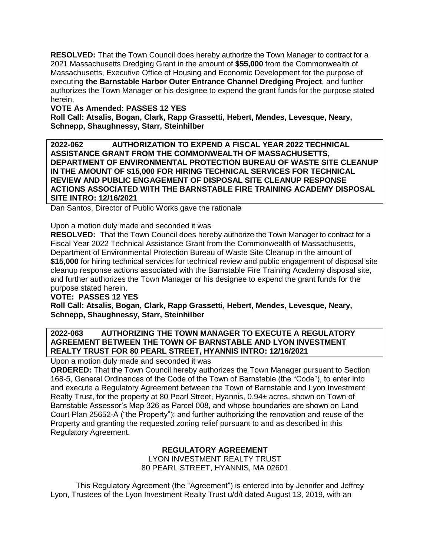**RESOLVED:** That the Town Council does hereby authorize the Town Manager to contract for a 2021 Massachusetts Dredging Grant in the amount of **\$55,000** from the Commonwealth of Massachusetts, Executive Office of Housing and Economic Development for the purpose of executing **the Barnstable Harbor Outer Entrance Channel Dredging Project**, and further authorizes the Town Manager or his designee to expend the grant funds for the purpose stated herein.

### **VOTE As Amended: PASSES 12 YES**

**Roll Call: Atsalis, Bogan, Clark, Rapp Grassetti, Hebert, Mendes, Levesque, Neary, Schnepp, Shaughnessy, Starr, Steinhilber**

**2022-062 AUTHORIZATION TO EXPEND A FISCAL YEAR 2022 TECHNICAL ASSISTANCE GRANT FROM THE COMMONWEALTH OF MASSACHUSETTS, DEPARTMENT OF ENVIRONMENTAL PROTECTION BUREAU OF WASTE SITE CLEANUP IN THE AMOUNT OF \$15,000 FOR HIRING TECHNICAL SERVICES FOR TECHNICAL REVIEW AND PUBLIC ENGAGEMENT OF DISPOSAL SITE CLEANUP RESPONSE ACTIONS ASSOCIATED WITH THE BARNSTABLE FIRE TRAINING ACADEMY DISPOSAL SITE INTRO: 12/16/2021**

Dan Santos, Director of Public Works gave the rationale

Upon a motion duly made and seconded it was

**RESOLVED:** That the Town Council does hereby authorize the Town Manager to contract for a Fiscal Year 2022 Technical Assistance Grant from the Commonwealth of Massachusetts, Department of Environmental Protection Bureau of Waste Site Cleanup in the amount of **\$15,000** for hiring technical services for technical review and public engagement of disposal site cleanup response actions associated with the Barnstable Fire Training Academy disposal site, and further authorizes the Town Manager or his designee to expend the grant funds for the purpose stated herein.

### **VOTE: PASSES 12 YES**

**Roll Call: Atsalis, Bogan, Clark, Rapp Grassetti, Hebert, Mendes, Levesque, Neary, Schnepp, Shaughnessy, Starr, Steinhilber**

### **2022-063 AUTHORIZING THE TOWN MANAGER TO EXECUTE A REGULATORY AGREEMENT BETWEEN THE TOWN OF BARNSTABLE AND LYON INVESTMENT REALTY TRUST FOR 80 PEARL STREET, HYANNIS INTRO: 12/16/2021**

Upon a motion duly made and seconded it was

**ORDERED:** That the Town Council hereby authorizes the Town Manager pursuant to Section 168-5, General Ordinances of the Code of the Town of Barnstable (the "Code"), to enter into and execute a Regulatory Agreement between the Town of Barnstable and Lyon Investment Realty Trust, for the property at 80 Pearl Street, Hyannis, 0.94± acres, shown on Town of Barnstable Assessor's Map 326 as Parcel 008, and whose boundaries are shown on Land Court Plan 25652-A ("the Property"); and further authorizing the renovation and reuse of the Property and granting the requested zoning relief pursuant to and as described in this Regulatory Agreement.

# **REGULATORY AGREEMENT**

LYON INVESTMENT REALTY TRUST 80 PEARL STREET, HYANNIS, MA 02601

This Regulatory Agreement (the "Agreement") is entered into by Jennifer and Jeffrey Lyon, Trustees of the Lyon Investment Realty Trust u/d/t dated August 13, 2019, with an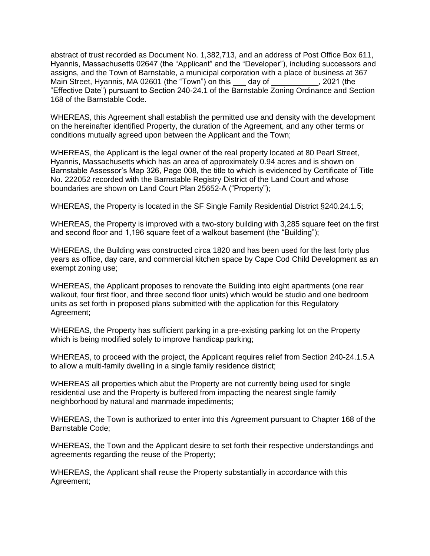abstract of trust recorded as Document No. 1,382,713, and an address of Post Office Box 611, Hyannis, Massachusetts 02647 (the "Applicant" and the "Developer"), including successors and assigns, and the Town of Barnstable, a municipal corporation with a place of business at 367 Main Street, Hyannis, MA 02601 (the "Town") on this day of 3021 (the "Effective Date") pursuant to Section 240-24.1 of the Barnstable Zoning Ordinance and Section 168 of the Barnstable Code.

WHEREAS, this Agreement shall establish the permitted use and density with the development on the hereinafter identified Property, the duration of the Agreement, and any other terms or conditions mutually agreed upon between the Applicant and the Town;

WHEREAS, the Applicant is the legal owner of the real property located at 80 Pearl Street, Hyannis, Massachusetts which has an area of approximately 0.94 acres and is shown on Barnstable Assessor's Map 326, Page 008, the title to which is evidenced by Certificate of Title No. 222052 recorded with the Barnstable Registry District of the Land Court and whose boundaries are shown on Land Court Plan 25652-A ("Property");

WHEREAS, the Property is located in the SF Single Family Residential District §240.24.1.5;

WHEREAS, the Property is improved with a two-story building with 3,285 square feet on the first and second floor and 1,196 square feet of a walkout basement (the "Building");

WHEREAS, the Building was constructed circa 1820 and has been used for the last forty plus years as office, day care, and commercial kitchen space by Cape Cod Child Development as an exempt zoning use;

WHEREAS, the Applicant proposes to renovate the Building into eight apartments (one rear walkout, four first floor, and three second floor units) which would be studio and one bedroom units as set forth in proposed plans submitted with the application for this Regulatory Agreement;

WHEREAS, the Property has sufficient parking in a pre-existing parking lot on the Property which is being modified solely to improve handicap parking;

WHEREAS, to proceed with the project, the Applicant requires relief from Section 240-24.1.5.A to allow a multi-family dwelling in a single family residence district;

WHEREAS all properties which abut the Property are not currently being used for single residential use and the Property is buffered from impacting the nearest single family neighborhood by natural and manmade impediments;

WHEREAS, the Town is authorized to enter into this Agreement pursuant to Chapter 168 of the Barnstable Code;

WHEREAS, the Town and the Applicant desire to set forth their respective understandings and agreements regarding the reuse of the Property;

WHEREAS, the Applicant shall reuse the Property substantially in accordance with this Agreement;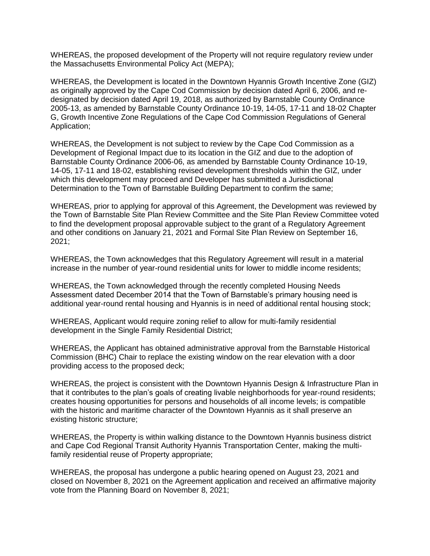WHEREAS, the proposed development of the Property will not require regulatory review under the Massachusetts Environmental Policy Act (MEPA);

WHEREAS, the Development is located in the Downtown Hyannis Growth Incentive Zone (GIZ) as originally approved by the Cape Cod Commission by decision dated April 6, 2006, and redesignated by decision dated April 19, 2018, as authorized by Barnstable County Ordinance 2005-13, as amended by Barnstable County Ordinance 10-19, 14-05, 17-11 and 18-02 Chapter G, Growth Incentive Zone Regulations of the Cape Cod Commission Regulations of General Application;

WHEREAS, the Development is not subject to review by the Cape Cod Commission as a Development of Regional Impact due to its location in the GIZ and due to the adoption of Barnstable County Ordinance 2006-06, as amended by Barnstable County Ordinance 10-19, 14-05, 17-11 and 18-02, establishing revised development thresholds within the GIZ, under which this development may proceed and Developer has submitted a Jurisdictional Determination to the Town of Barnstable Building Department to confirm the same;

WHEREAS, prior to applying for approval of this Agreement, the Development was reviewed by the Town of Barnstable Site Plan Review Committee and the Site Plan Review Committee voted to find the development proposal approvable subject to the grant of a Regulatory Agreement and other conditions on January 21, 2021 and Formal Site Plan Review on September 16, 2021;

WHEREAS, the Town acknowledges that this Regulatory Agreement will result in a material increase in the number of year-round residential units for lower to middle income residents;

WHEREAS, the Town acknowledged through the recently completed Housing Needs Assessment dated December 2014 that the Town of Barnstable's primary housing need is additional year-round rental housing and Hyannis is in need of additional rental housing stock;

WHEREAS, Applicant would require zoning relief to allow for multi-family residential development in the Single Family Residential District;

WHEREAS, the Applicant has obtained administrative approval from the Barnstable Historical Commission (BHC) Chair to replace the existing window on the rear elevation with a door providing access to the proposed deck;

WHEREAS, the project is consistent with the Downtown Hyannis Design & Infrastructure Plan in that it contributes to the plan's goals of creating livable neighborhoods for year-round residents; creates housing opportunities for persons and households of all income levels; is compatible with the historic and maritime character of the Downtown Hyannis as it shall preserve an existing historic structure;

WHEREAS, the Property is within walking distance to the Downtown Hyannis business district and Cape Cod Regional Transit Authority Hyannis Transportation Center, making the multifamily residential reuse of Property appropriate;

WHEREAS, the proposal has undergone a public hearing opened on August 23, 2021 and closed on November 8, 2021 on the Agreement application and received an affirmative majority vote from the Planning Board on November 8, 2021;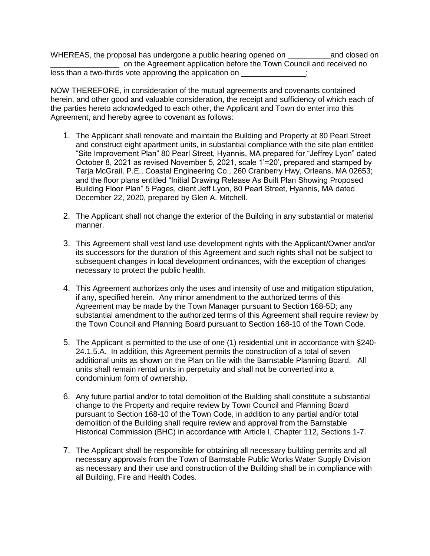WHEREAS, the proposal has undergone a public hearing opened on **we are also and closed on** \_\_\_\_\_\_\_\_\_\_\_\_\_\_\_\_ on the Agreement application before the Town Council and received no less than a two-thirds vote approving the application on  $\ddot{\phantom{a}}$ ;

NOW THEREFORE, in consideration of the mutual agreements and covenants contained herein, and other good and valuable consideration, the receipt and sufficiency of which each of the parties hereto acknowledged to each other, the Applicant and Town do enter into this Agreement, and hereby agree to covenant as follows:

- 1. The Applicant shall renovate and maintain the Building and Property at 80 Pearl Street and construct eight apartment units, in substantial compliance with the site plan entitled "Site Improvement Plan" 80 Pearl Street, Hyannis, MA prepared for "Jeffrey Lyon" dated October 8, 2021 as revised November 5, 2021, scale 1'=20', prepared and stamped by Tarja McGrail, P.E., Coastal Engineering Co., 260 Cranberry Hwy, Orleans, MA 02653; and the floor plans entitled "Initial Drawing Release As Built Plan Showing Proposed Building Floor Plan" 5 Pages, client Jeff Lyon, 80 Pearl Street, Hyannis, MA dated December 22, 2020, prepared by Glen A. Mitchell.
- 2. The Applicant shall not change the exterior of the Building in any substantial or material manner.
- 3. This Agreement shall vest land use development rights with the Applicant/Owner and/or its successors for the duration of this Agreement and such rights shall not be subject to subsequent changes in local development ordinances, with the exception of changes necessary to protect the public health.
- 4. This Agreement authorizes only the uses and intensity of use and mitigation stipulation, if any, specified herein. Any minor amendment to the authorized terms of this Agreement may be made by the Town Manager pursuant to Section 168-5D; any substantial amendment to the authorized terms of this Agreement shall require review by the Town Council and Planning Board pursuant to Section 168-10 of the Town Code.
- 5. The Applicant is permitted to the use of one (1) residential unit in accordance with §240- 24.1.5.A. In addition, this Agreement permits the construction of a total of seven additional units as shown on the Plan on file with the Barnstable Planning Board. All units shall remain rental units in perpetuity and shall not be converted into a condominium form of ownership.
- 6. Any future partial and/or to total demolition of the Building shall constitute a substantial change to the Property and require review by Town Council and Planning Board pursuant to Section 168-10 of the Town Code, in addition to any partial and/or total demolition of the Building shall require review and approval from the Barnstable Historical Commission (BHC) in accordance with Article I, Chapter 112, Sections 1-7.
- 7. The Applicant shall be responsible for obtaining all necessary building permits and all necessary approvals from the Town of Barnstable Public Works Water Supply Division as necessary and their use and construction of the Building shall be in compliance with all Building, Fire and Health Codes.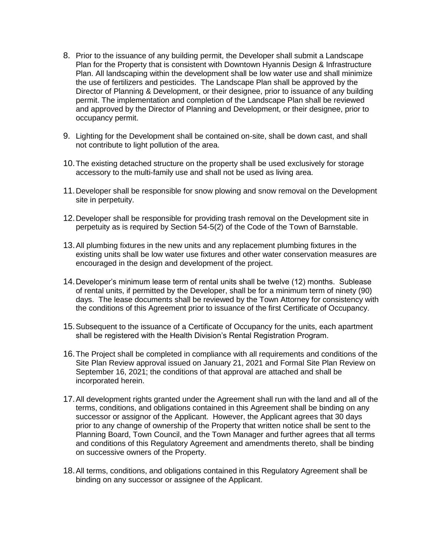- 8. Prior to the issuance of any building permit, the Developer shall submit a Landscape Plan for the Property that is consistent with Downtown Hyannis Design & Infrastructure Plan. All landscaping within the development shall be low water use and shall minimize the use of fertilizers and pesticides. The Landscape Plan shall be approved by the Director of Planning & Development, or their designee, prior to issuance of any building permit. The implementation and completion of the Landscape Plan shall be reviewed and approved by the Director of Planning and Development, or their designee, prior to occupancy permit.
- 9. Lighting for the Development shall be contained on-site, shall be down cast, and shall not contribute to light pollution of the area.
- 10.The existing detached structure on the property shall be used exclusively for storage accessory to the multi-family use and shall not be used as living area.
- 11.Developer shall be responsible for snow plowing and snow removal on the Development site in perpetuity.
- 12.Developer shall be responsible for providing trash removal on the Development site in perpetuity as is required by Section 54-5(2) of the Code of the Town of Barnstable.
- 13.All plumbing fixtures in the new units and any replacement plumbing fixtures in the existing units shall be low water use fixtures and other water conservation measures are encouraged in the design and development of the project.
- 14.Developer's minimum lease term of rental units shall be twelve (12) months. Sublease of rental units, if permitted by the Developer, shall be for a minimum term of ninety (90) days. The lease documents shall be reviewed by the Town Attorney for consistency with the conditions of this Agreement prior to issuance of the first Certificate of Occupancy.
- 15.Subsequent to the issuance of a Certificate of Occupancy for the units, each apartment shall be registered with the Health Division's Rental Registration Program.
- 16.The Project shall be completed in compliance with all requirements and conditions of the Site Plan Review approval issued on January 21, 2021 and Formal Site Plan Review on September 16, 2021; the conditions of that approval are attached and shall be incorporated herein.
- 17.All development rights granted under the Agreement shall run with the land and all of the terms, conditions, and obligations contained in this Agreement shall be binding on any successor or assignor of the Applicant. However, the Applicant agrees that 30 days prior to any change of ownership of the Property that written notice shall be sent to the Planning Board, Town Council, and the Town Manager and further agrees that all terms and conditions of this Regulatory Agreement and amendments thereto, shall be binding on successive owners of the Property.
- 18.All terms, conditions, and obligations contained in this Regulatory Agreement shall be binding on any successor or assignee of the Applicant.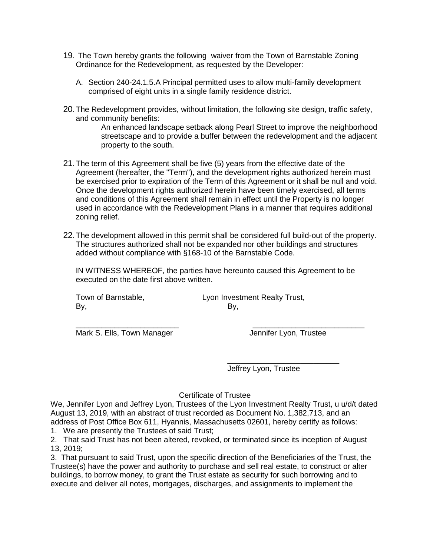- 19. The Town hereby grants the following waiver from the Town of Barnstable Zoning Ordinance for the Redevelopment, as requested by the Developer:
	- A. Section 240-24.1.5.A Principal permitted uses to allow multi-family development comprised of eight units in a single family residence district.
- 20.The Redevelopment provides, without limitation, the following site design, traffic safety, and community benefits:

An enhanced landscape setback along Pearl Street to improve the neighborhood streetscape and to provide a buffer between the redevelopment and the adjacent property to the south.

- 21.The term of this Agreement shall be five (5) years from the effective date of the Agreement (hereafter, the "Term"), and the development rights authorized herein must be exercised prior to expiration of the Term of this Agreement or it shall be null and void. Once the development rights authorized herein have been timely exercised, all terms and conditions of this Agreement shall remain in effect until the Property is no longer used in accordance with the Redevelopment Plans in a manner that requires additional zoning relief.
- 22.The development allowed in this permit shall be considered full build-out of the property. The structures authorized shall not be expanded nor other buildings and structures added without compliance with §168-10 of the Barnstable Code.

IN WITNESS WHEREOF, the parties have hereunto caused this Agreement to be executed on the date first above written.

\_\_\_\_\_\_\_\_\_\_\_\_\_\_\_\_\_\_\_\_\_\_\_\_ \_\_\_\_\_\_\_\_\_\_\_\_\_\_\_\_\_\_\_\_\_\_\_\_\_\_

By, By,

Town of Barnstable, Town Investment Realty Trust,

Mark S. Ells, Town Manager **Jennifer Lyon, Trustee** 

\_\_\_\_\_\_\_\_\_\_\_\_\_\_\_\_\_\_\_\_\_\_\_\_\_\_

Jeffrey Lyon, Trustee

# Certificate of Trustee

We, Jennifer Lyon and Jeffrey Lyon, Trustees of the Lyon Investment Realty Trust, u u/d/t dated August 13, 2019, with an abstract of trust recorded as Document No. 1,382,713, and an address of Post Office Box 611, Hyannis, Massachusetts 02601, hereby certify as follows:

1. We are presently the Trustees of said Trust;

2. That said Trust has not been altered, revoked, or terminated since its inception of August 13, 2019;

3. That pursuant to said Trust, upon the specific direction of the Beneficiaries of the Trust, the Trustee(s) have the power and authority to purchase and sell real estate, to construct or alter buildings, to borrow money, to grant the Trust estate as security for such borrowing and to execute and deliver all notes, mortgages, discharges, and assignments to implement the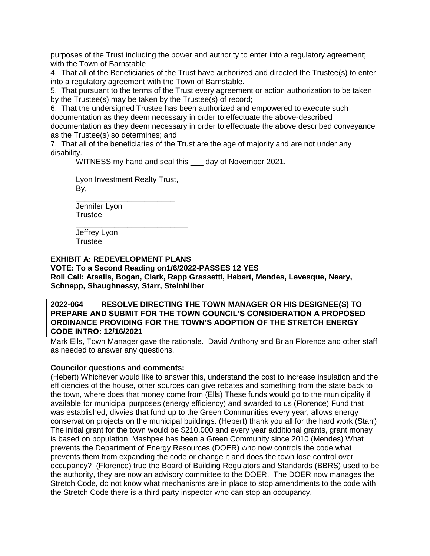purposes of the Trust including the power and authority to enter into a regulatory agreement; with the Town of Barnstable

4. That all of the Beneficiaries of the Trust have authorized and directed the Trustee(s) to enter into a regulatory agreement with the Town of Barnstable.

5. That pursuant to the terms of the Trust every agreement or action authorization to be taken by the Trustee(s) may be taken by the Trustee(s) of record;

6. That the undersigned Trustee has been authorized and empowered to execute such documentation as they deem necessary in order to effectuate the above-described documentation as they deem necessary in order to effectuate the above described conveyance as the Trustee(s) so determines; and

7. That all of the beneficiaries of the Trust are the age of majority and are not under any disability.

WITNESS my hand and seal this \_\_\_ day of November 2021.

Lyon Investment Realty Trust,

By, \_\_\_\_\_\_\_\_\_\_\_\_\_\_\_\_\_\_\_\_\_\_\_

Jennifer Lyon **Trustee** 

\_\_\_\_\_\_\_\_\_\_\_\_\_\_\_\_\_\_\_\_\_\_\_\_\_\_ Jeffrey Lyon **Trustee** 

**EXHIBIT A: REDEVELOPMENT PLANS**

**VOTE: To a Second Reading on1/6/2022-PASSES 12 YES Roll Call: Atsalis, Bogan, Clark, Rapp Grassetti, Hebert, Mendes, Levesque, Neary, Schnepp, Shaughnessy, Starr, Steinhilber**

### **2022-064 RESOLVE DIRECTING THE TOWN MANAGER OR HIS DESIGNEE(S) TO PREPARE AND SUBMIT FOR THE TOWN COUNCIL'S CONSIDERATION A PROPOSED ORDINANCE PROVIDING FOR THE TOWN'S ADOPTION OF THE STRETCH ENERGY CODE INTRO: 12/16/2021**

Mark Ells, Town Manager gave the rationale. David Anthony and Brian Florence and other staff as needed to answer any questions.

# **Councilor questions and comments:**

(Hebert) Whichever would like to answer this, understand the cost to increase insulation and the efficiencies of the house, other sources can give rebates and something from the state back to the town, where does that money come from (Ells) These funds would go to the municipality if available for municipal purposes (energy efficiency) and awarded to us (Florence) Fund that was established, divvies that fund up to the Green Communities every year, allows energy conservation projects on the municipal buildings. (Hebert) thank you all for the hard work (Starr) The initial grant for the town would be \$210,000 and every year additional grants, grant money is based on population, Mashpee has been a Green Community since 2010 (Mendes) What prevents the Department of Energy Resources (DOER) who now controls the code what prevents them from expanding the code or change it and does the town lose control over occupancy? (Florence) true the Board of Building Regulators and Standards (BBRS) used to be the authority, they are now an advisory committee to the DOER. The DOER now manages the Stretch Code, do not know what mechanisms are in place to stop amendments to the code with the Stretch Code there is a third party inspector who can stop an occupancy.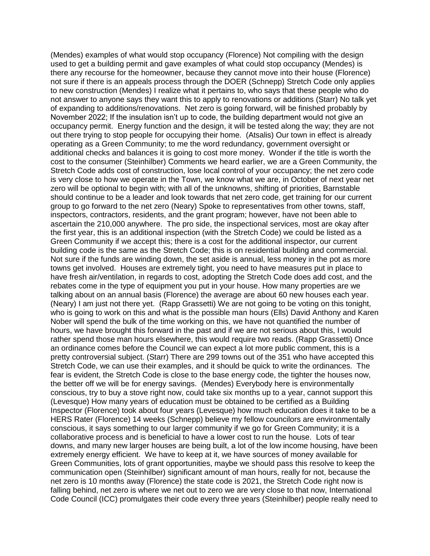(Mendes) examples of what would stop occupancy (Florence) Not compiling with the design used to get a building permit and gave examples of what could stop occupancy (Mendes) is there any recourse for the homeowner, because they cannot move into their house (Florence) not sure if there is an appeals process through the DOER (Schnepp) Stretch Code only applies to new construction (Mendes) I realize what it pertains to, who says that these people who do not answer to anyone says they want this to apply to renovations or additions (Starr) No talk yet of expanding to additions/renovations. Net zero is going forward, will be finished probably by November 2022; If the insulation isn't up to code, the building department would not give an occupancy permit. Energy function and the design, it will be tested along the way; they are not out there trying to stop people for occupying their home. (Atsalis) Our town in effect is already operating as a Green Community; to me the word redundancy, government oversight or additional checks and balances it is going to cost more money. Wonder if the title is worth the cost to the consumer (Steinhilber) Comments we heard earlier, we are a Green Community, the Stretch Code adds cost of construction, lose local control of your occupancy; the net zero code is very close to how we operate in the Town, we know what we are, in October of next year net zero will be optional to begin with; with all of the unknowns, shifting of priorities, Barnstable should continue to be a leader and look towards that net zero code, get training for our current group to go forward to the net zero (Neary) Spoke to representatives from other towns, staff, inspectors, contractors, residents, and the grant program; however, have not been able to ascertain the 210,000 anywhere. The pro side, the inspectional services, most are okay after the first year, this is an additional inspection (with the Stretch Code) we could be listed as a Green Community if we accept this; there is a cost for the additional inspector, our current building code is the same as the Stretch Code; this is on residential building and commercial. Not sure if the funds are winding down, the set aside is annual, less money in the pot as more towns get involved. Houses are extremely tight, you need to have measures put in place to have fresh air/ventilation, in regards to cost, adopting the Stretch Code does add cost, and the rebates come in the type of equipment you put in your house. How many properties are we talking about on an annual basis (Florence) the average are about 60 new houses each year. (Neary) I am just not there yet. (Rapp Grassetti) We are not going to be voting on this tonight, who is going to work on this and what is the possible man hours (Ells) David Anthony and Karen Nober will spend the bulk of the time working on this, we have not quantified the number of hours, we have brought this forward in the past and if we are not serious about this, I would rather spend those man hours elsewhere, this would require two reads. (Rapp Grassetti) Once an ordinance comes before the Council we can expect a lot more public comment, this is a pretty controversial subject. (Starr) There are 299 towns out of the 351 who have accepted this Stretch Code, we can use their examples, and it should be quick to write the ordinances. The fear is evident, the Stretch Code is close to the base energy code, the tighter the houses now, the better off we will be for energy savings. (Mendes) Everybody here is environmentally conscious, try to buy a stove right now, could take six months up to a year, cannot support this (Levesque) How many years of education must be obtained to be certified as a Building Inspector (Florence) took about four years (Levesque) how much education does it take to be a HERS Rater (Florence) 14 weeks (Schnepp) believe my fellow councilors are environmentally conscious, it says something to our larger community if we go for Green Community; it is a collaborative process and is beneficial to have a lower cost to run the house. Lots of tear downs, and many new larger houses are being built, a lot of the low income housing, have been extremely energy efficient. We have to keep at it, we have sources of money available for Green Communities, lots of grant opportunities, maybe we should pass this resolve to keep the communication open (Steinhilber) significant amount of man hours, really for not, because the net zero is 10 months away (Florence) the state code is 2021, the Stretch Code right now is falling behind, net zero is where we net out to zero we are very close to that now, International Code Council (ICC) promulgates their code every three years (Steinhilber) people really need to